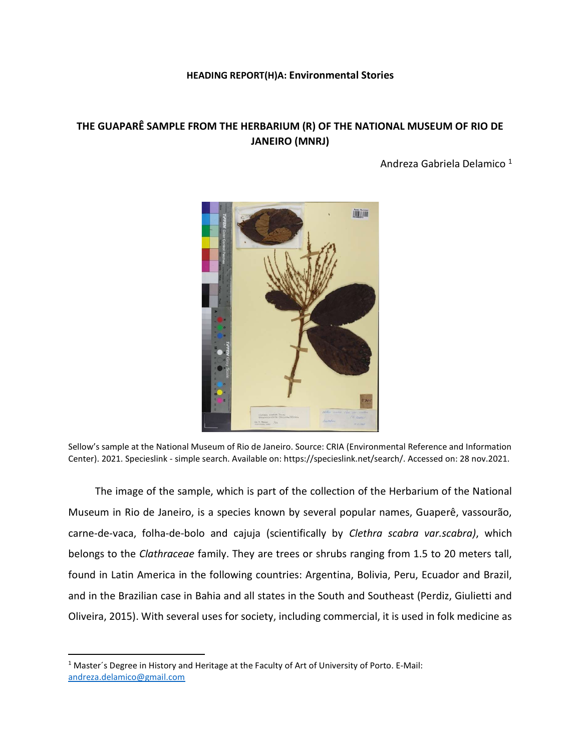## HEADING REPORT(H)A: Environmental Stories

## THE GUAPARÊ SAMPLE FROM THE HERBARIUM (R) OF THE NATIONAL MUSEUM OF RIO DE JANEIRO (MNRJ)

Andreza Gabriela Delamico <sup>1</sup>



Sellow's sample at the National Museum of Rio de Janeiro. Source: CRIA (Environmental Reference and Information Center). 2021. Specieslink - simple search. Available on: https://specieslink.net/search/. Accessed on: 28 nov.2021.

The image of the sample, which is part of the collection of the Herbarium of the National Museum in Rio de Janeiro, is a species known by several popular names, Guaperê, vassourão, carne-de-vaca, folha-de-bolo and cajuja (scientifically by Clethra scabra var.scabra), which belongs to the Clathraceae family. They are trees or shrubs ranging from 1.5 to 20 meters tall, found in Latin America in the following countries: Argentina, Bolivia, Peru, Ecuador and Brazil, and in the Brazilian case in Bahia and all states in the South and Southeast (Perdiz, Giulietti and Oliveira, 2015). With several uses for society, including commercial, it is used in folk medicine as

 $\overline{a}$ 

<sup>&</sup>lt;sup>1</sup> Master's Degree in History and Heritage at the Faculty of Art of University of Porto. E-Mail: andreza.delamico@gmail.com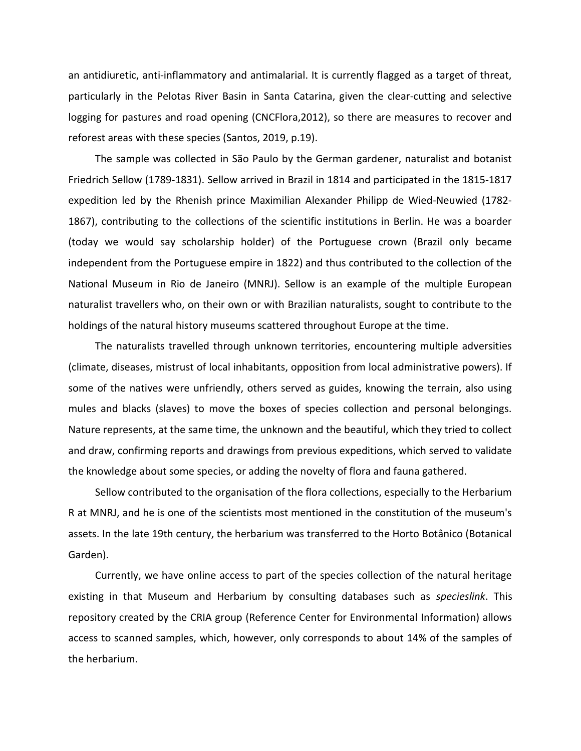an antidiuretic, anti-inflammatory and antimalarial. It is currently flagged as a target of threat, particularly in the Pelotas River Basin in Santa Catarina, given the clear-cutting and selective logging for pastures and road opening (CNCFlora,2012), so there are measures to recover and reforest areas with these species (Santos, 2019, p.19).

The sample was collected in São Paulo by the German gardener, naturalist and botanist Friedrich Sellow (1789-1831). Sellow arrived in Brazil in 1814 and participated in the 1815-1817 expedition led by the Rhenish prince Maximilian Alexander Philipp de Wied-Neuwied (1782- 1867), contributing to the collections of the scientific institutions in Berlin. He was a boarder (today we would say scholarship holder) of the Portuguese crown (Brazil only became independent from the Portuguese empire in 1822) and thus contributed to the collection of the National Museum in Rio de Janeiro (MNRJ). Sellow is an example of the multiple European naturalist travellers who, on their own or with Brazilian naturalists, sought to contribute to the holdings of the natural history museums scattered throughout Europe at the time.

The naturalists travelled through unknown territories, encountering multiple adversities (climate, diseases, mistrust of local inhabitants, opposition from local administrative powers). If some of the natives were unfriendly, others served as guides, knowing the terrain, also using mules and blacks (slaves) to move the boxes of species collection and personal belongings. Nature represents, at the same time, the unknown and the beautiful, which they tried to collect and draw, confirming reports and drawings from previous expeditions, which served to validate the knowledge about some species, or adding the novelty of flora and fauna gathered.

Sellow contributed to the organisation of the flora collections, especially to the Herbarium R at MNRJ, and he is one of the scientists most mentioned in the constitution of the museum's assets. In the late 19th century, the herbarium was transferred to the Horto Botânico (Botanical Garden).

Currently, we have online access to part of the species collection of the natural heritage existing in that Museum and Herbarium by consulting databases such as *specieslink*. This repository created by the CRIA group (Reference Center for Environmental Information) allows access to scanned samples, which, however, only corresponds to about 14% of the samples of the herbarium.